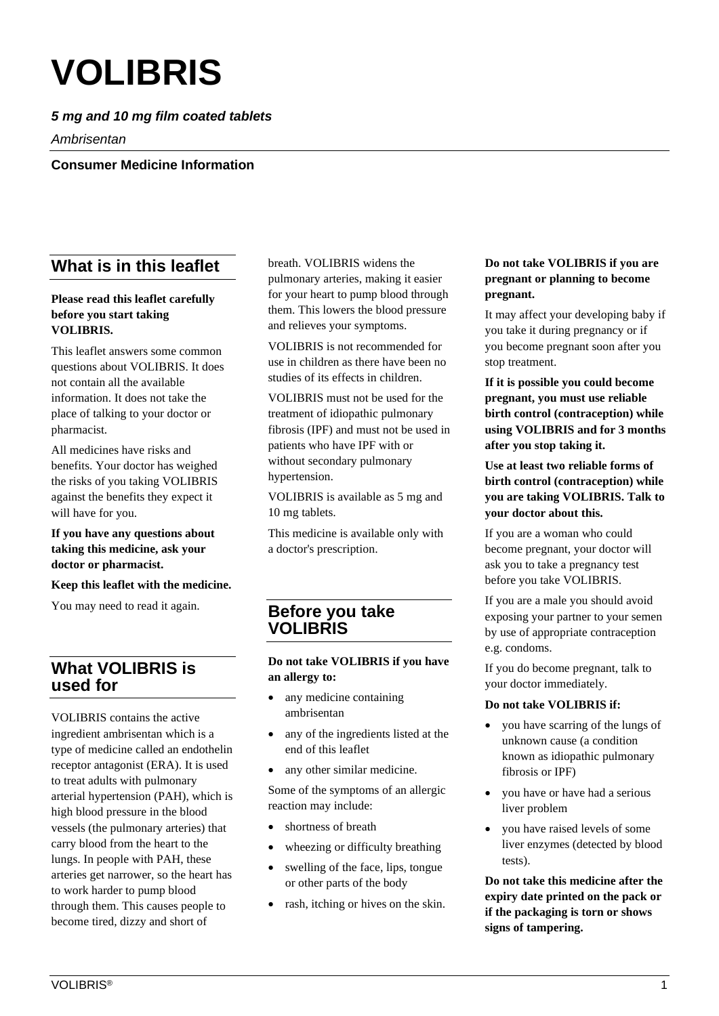# **VOLIBRIS**

## *5 mg and 10 mg film coated tablets*

*Ambrisentan*

**Consumer Medicine Information**

# **What is in this leaflet**

## **Please read this leaflet carefully before you start taking VOLIBRIS.**

This leaflet answers some common questions about VOLIBRIS. It does not contain all the available information. It does not take the place of talking to your doctor or pharmacist.

All medicines have risks and benefits. Your doctor has weighed the risks of you taking VOLIBRIS against the benefits they expect it will have for you.

**If you have any questions about taking this medicine, ask your doctor or pharmacist.**

#### **Keep this leaflet with the medicine.**

You may need to read it again.

# **What VOLIBRIS is used for**

VOLIBRIS contains the active ingredient ambrisentan which is a type of medicine called an endothelin receptor antagonist (ERA). It is used to treat adults with pulmonary arterial hypertension (PAH), which is high blood pressure in the blood vessels (the pulmonary arteries) that carry blood from the heart to the lungs. In people with PAH, these arteries get narrower, so the heart has to work harder to pump blood through them. This causes people to become tired, dizzy and short of

breath. VOLIBRIS widens the pulmonary arteries, making it easier for your heart to pump blood through them. This lowers the blood pressure and relieves your symptoms.

VOLIBRIS is not recommended for use in children as there have been no studies of its effects in children.

VOLIBRIS must not be used for the treatment of idiopathic pulmonary fibrosis (IPF) and must not be used in patients who have IPF with or without secondary pulmonary hypertension.

VOLIBRIS is available as 5 mg and 10 mg tablets.

This medicine is available only with a doctor's prescription.

## **Before you take VOLIBRIS**

#### **Do not take VOLIBRIS if you have an allergy to:**

- any medicine containing ambrisentan
- any of the ingredients listed at the end of this leaflet
- any other similar medicine.

Some of the symptoms of an allergic reaction may include:

- shortness of breath
- wheezing or difficulty breathing
- swelling of the face, lips, tongue or other parts of the body
- rash, itching or hives on the skin.

### **Do not take VOLIBRIS if you are pregnant or planning to become pregnant.**

It may affect your developing baby if you take it during pregnancy or if you become pregnant soon after you stop treatment.

**If it is possible you could become pregnant, you must use reliable birth control (contraception) while using VOLIBRIS and for 3 months after you stop taking it.**

**Use at least two reliable forms of birth control (contraception) while you are taking VOLIBRIS. Talk to your doctor about this.**

If you are a woman who could become pregnant, your doctor will ask you to take a pregnancy test before you take VOLIBRIS.

If you are a male you should avoid exposing your partner to your semen by use of appropriate contraception e.g. condoms.

If you do become pregnant, talk to your doctor immediately.

#### **Do not take VOLIBRIS if:**

- you have scarring of the lungs of unknown cause (a condition known as idiopathic pulmonary fibrosis or IPF)
- you have or have had a serious liver problem
- you have raised levels of some liver enzymes (detected by blood tests).

**Do not take this medicine after the expiry date printed on the pack or if the packaging is torn or shows signs of tampering.**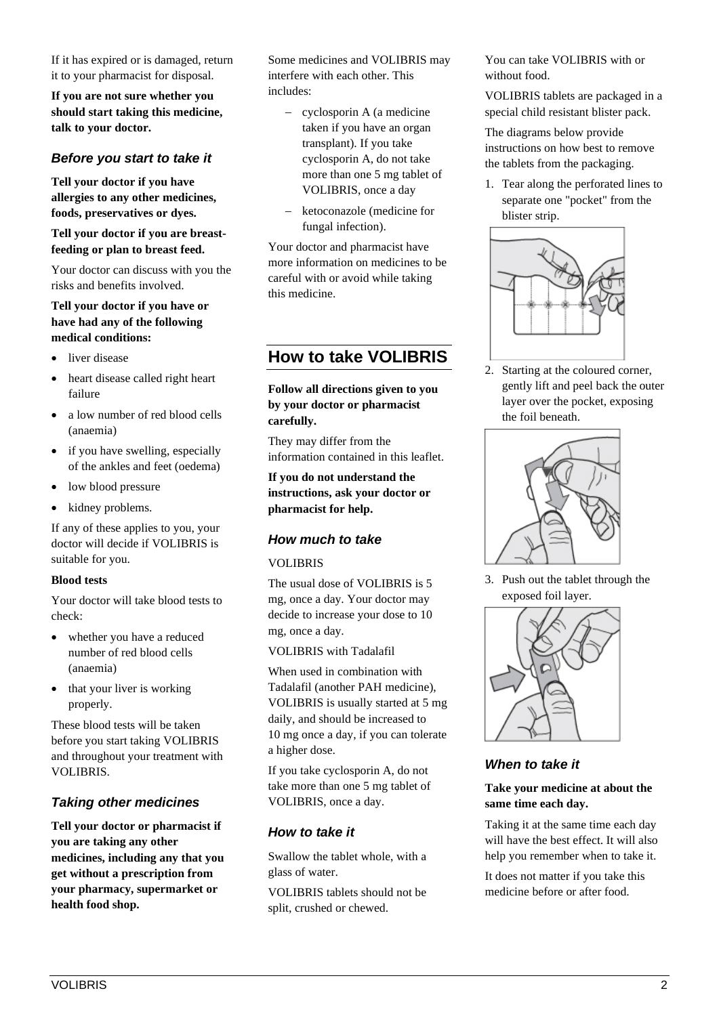If it has expired or is damaged, return it to your pharmacist for disposal.

**If you are not sure whether you should start taking this medicine, talk to your doctor.**

## *Before you start to take it*

**Tell your doctor if you have allergies to any other medicines, foods, preservatives or dyes.**

**Tell your doctor if you are breastfeeding or plan to breast feed.**

Your doctor can discuss with you the risks and benefits involved.

#### **Tell your doctor if you have or have had any of the following medical conditions:**

- liver disease
- heart disease called right heart failure
- a low number of red blood cells (anaemia)
- if you have swelling, especially of the ankles and feet (oedema)
- low blood pressure
- kidney problems.

If any of these applies to you, your doctor will decide if VOLIBRIS is suitable for you.

#### **Blood tests**

Your doctor will take blood tests to check:

- whether you have a reduced number of red blood cells (anaemia)
- that your liver is working properly.

These blood tests will be taken before you start taking VOLIBRIS and throughout your treatment with VOLIBRIS.

## *Taking other medicines*

**Tell your doctor or pharmacist if you are taking any other medicines, including any that you get without a prescription from your pharmacy, supermarket or health food shop.**

Some medicines and VOLIBRIS may interfere with each other. This includes:

- − cyclosporin A (a medicine taken if you have an organ transplant). If you take cyclosporin A, do not take more than one 5 mg tablet of VOLIBRIS, once a day
- − ketoconazole (medicine for fungal infection).

Your doctor and pharmacist have more information on medicines to be careful with or avoid while taking this medicine.

# **How to take VOLIBRIS**

## **Follow all directions given to you by your doctor or pharmacist carefully.**

They may differ from the information contained in this leaflet.

**If you do not understand the instructions, ask your doctor or pharmacist for help.**

## *How much to take*

### VOLIBRIS

The usual dose of VOLIBRIS is 5 mg, once a day. Your doctor may decide to increase your dose to 10 mg, once a day.

VOLIBRIS with Tadalafil

When used in combination with Tadalafil (another PAH medicine), VOLIBRIS is usually started at 5 mg daily, and should be increased to 10 mg once a day, if you can tolerate a higher dose.

If you take cyclosporin A, do not take more than one 5 mg tablet of VOLIBRIS, once a day.

## *How to take it*

Swallow the tablet whole, with a glass of water.

VOLIBRIS tablets should not be split, crushed or chewed.

You can take VOLIBRIS with or without food.

VOLIBRIS tablets are packaged in a special child resistant blister pack.

The diagrams below provide instructions on how best to remove the tablets from the packaging.

1. Tear along the perforated lines to separate one "pocket" from the blister strip.



2. Starting at the coloured corner, gently lift and peel back the outer layer over the pocket, exposing the foil beneath.



3. Push out the tablet through the exposed foil layer.



## *When to take it*

#### **Take your medicine at about the same time each day.**

Taking it at the same time each day will have the best effect. It will also help you remember when to take it.

It does not matter if you take this medicine before or after food.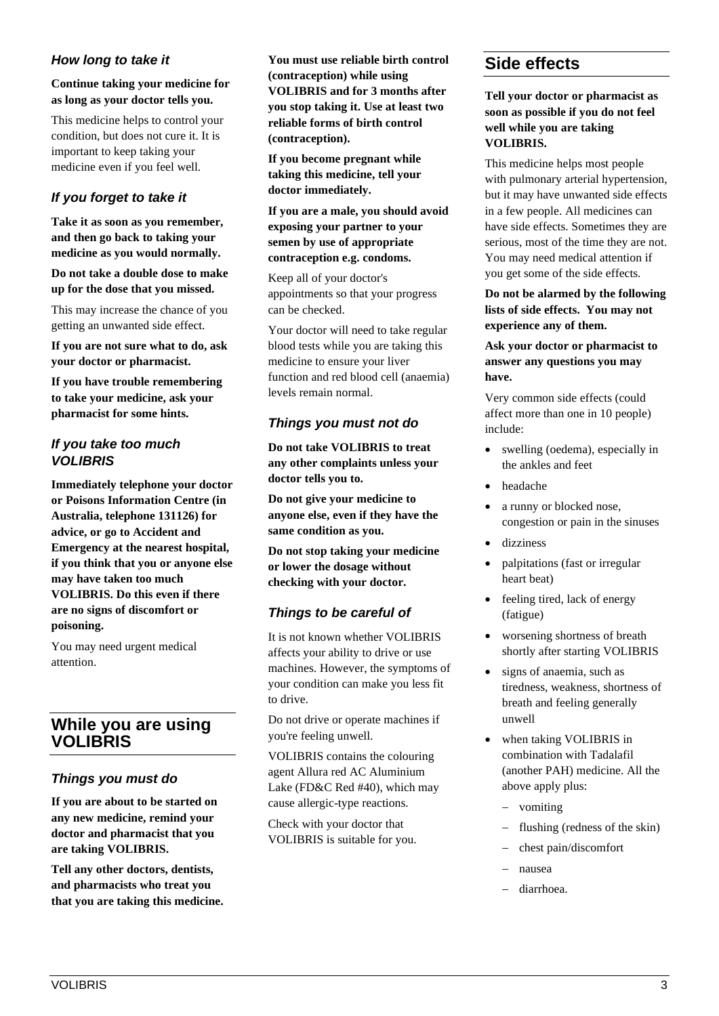## *How long to take it*

**Continue taking your medicine for as long as your doctor tells you.** 

This medicine helps to control your condition, but does not cure it. It is important to keep taking your medicine even if you feel well.

## *If you forget to take it*

**Take it as soon as you remember, and then go back to taking your medicine as you would normally.**

**Do not take a double dose to make up for the dose that you missed.**

This may increase the chance of you getting an unwanted side effect.

**If you are not sure what to do, ask your doctor or pharmacist.**

**If you have trouble remembering to take your medicine, ask your pharmacist for some hints.**

## *If you take too much VOLIBRIS*

**Immediately telephone your doctor or Poisons Information Centre (in Australia, telephone 131126) for advice, or go to Accident and Emergency at the nearest hospital, if you think that you or anyone else may have taken too much VOLIBRIS. Do this even if there are no signs of discomfort or poisoning.** 

You may need urgent medical attention.

# **While you are using VOLIBRIS**

## *Things you must do*

**If you are about to be started on any new medicine, remind your doctor and pharmacist that you are taking VOLIBRIS.**

**Tell any other doctors, dentists, and pharmacists who treat you that you are taking this medicine.** **You must use reliable birth control (contraception) while using VOLIBRIS and for 3 months after you stop taking it. Use at least two reliable forms of birth control (contraception).**

**If you become pregnant while taking this medicine, tell your doctor immediately.**

**If you are a male, you should avoid exposing your partner to your semen by use of appropriate contraception e.g. condoms.**

Keep all of your doctor's appointments so that your progress can be checked.

Your doctor will need to take regular blood tests while you are taking this medicine to ensure your liver function and red blood cell (anaemia) levels remain normal.

## *Things you must not do*

**Do not take VOLIBRIS to treat any other complaints unless your doctor tells you to.**

**Do not give your medicine to anyone else, even if they have the same condition as you.**

**Do not stop taking your medicine or lower the dosage without checking with your doctor.**

## *Things to be careful of*

It is not known whether VOLIBRIS affects your ability to drive or use machines. However, the symptoms of your condition can make you less fit to drive.

Do not drive or operate machines if you're feeling unwell.

VOLIBRIS contains the colouring agent Allura red AC Aluminium Lake (FD&C Red #40), which may cause allergic-type reactions.

Check with your doctor that VOLIBRIS is suitable for you.

# **Side effects**

**Tell your doctor or pharmacist as soon as possible if you do not feel well while you are taking VOLIBRIS.**

This medicine helps most people with pulmonary arterial hypertension, but it may have unwanted side effects in a few people. All medicines can have side effects. Sometimes they are serious, most of the time they are not. You may need medical attention if you get some of the side effects.

## **Do not be alarmed by the following lists of side effects. You may not experience any of them.**

## **Ask your doctor or pharmacist to answer any questions you may have.**

Very common side effects (could affect more than one in 10 people) include:

- swelling (oedema), especially in the ankles and feet
- headache
- a runny or blocked nose, congestion or pain in the sinuses
- dizziness
- palpitations (fast or irregular heart beat)
- feeling tired, lack of energy (fatigue)
- worsening shortness of breath shortly after starting VOLIBRIS
- signs of anaemia, such as tiredness, weakness, shortness of breath and feeling generally unwell
- when taking VOLIBRIS in combination with Tadalafil (another PAH) medicine. All the above apply plus:
	- − vomiting
	- flushing (redness of the skin)
	- − chest pain/discomfort
	- − nausea
	- − diarrhoea.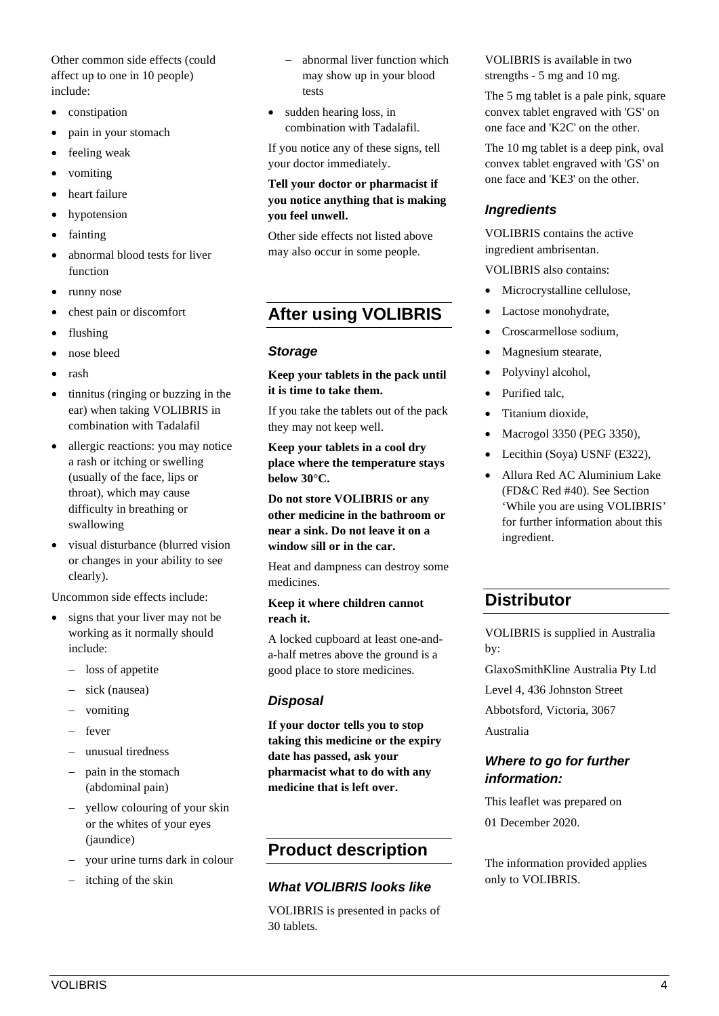Other common side effects (could affect up to one in 10 people) include:

- constipation
- pain in your stomach
- feeling weak
- vomiting
- heart failure
- hypotension
- fainting
- abnormal blood tests for liver function
- runny nose
- chest pain or discomfort
- flushing
- nose bleed
- rash
- tinnitus (ringing or buzzing in the ear) when taking VOLIBRIS in combination with Tadalafil
- allergic reactions: you may notice a rash or itching or swelling (usually of the face, lips or throat), which may cause difficulty in breathing or swallowing
- visual disturbance (blurred vision or changes in your ability to see clearly).

Uncommon side effects include:

- signs that your liver may not be working as it normally should include:
	- − loss of appetite
	- sick (nausea)
	- − vomiting
	- − fever
	- unusual tiredness
	- pain in the stomach (abdominal pain)
	- − yellow colouring of your skin or the whites of your eyes (jaundice)
	- − your urine turns dark in colour
	- itching of the skin
- abnormal liver function which may show up in your blood tests
- sudden hearing loss, in combination with Tadalafil.

If you notice any of these signs, tell your doctor immediately.

#### **Tell your doctor or pharmacist if you notice anything that is making you feel unwell.**

Other side effects not listed above may also occur in some people.

# **After using VOLIBRIS**

#### *Storage*

**Keep your tablets in the pack until it is time to take them.**

If you take the tablets out of the pack they may not keep well.

**Keep your tablets in a cool dry place where the temperature stays below 30°C.**

**Do not store VOLIBRIS or any other medicine in the bathroom or near a sink. Do not leave it on a window sill or in the car.**

Heat and dampness can destroy some medicines.

#### **Keep it where children cannot reach it.**

A locked cupboard at least one-anda-half metres above the ground is a good place to store medicines.

## *Disposal*

**If your doctor tells you to stop taking this medicine or the expiry date has passed, ask your pharmacist what to do with any medicine that is left over.**

# **Product description**

## *What VOLIBRIS looks like*

VOLIBRIS is presented in packs of 30 tablets.

VOLIBRIS is available in two strengths - 5 mg and 10 mg.

The 5 mg tablet is a pale pink, square convex tablet engraved with 'GS' on one face and 'K2C' on the other.

The 10 mg tablet is a deep pink, oval convex tablet engraved with 'GS' on one face and 'KE3' on the other.

## *Ingredients*

VOLIBRIS contains the active ingredient ambrisentan.

VOLIBRIS also contains:

- Microcrystalline cellulose,
- Lactose monohydrate,
- Croscarmellose sodium,
- Magnesium stearate,
- Polyvinyl alcohol,
- Purified talc.
- Titanium dioxide,
- Macrogol 3350 (PEG 3350),
- Lecithin (Soya) USNF (E322),
- Allura Red AC Aluminium Lake (FD&C Red #40). See Section 'While you are using VOLIBRIS' for further information about this ingredient.

# **Distributor**

VOLIBRIS is supplied in Australia by:

GlaxoSmithKline Australia Pty Ltd

Level 4, 436 Johnston Street

Abbotsford, Victoria, 3067

Australia

## *Where to go for further information:*

This leaflet was prepared on 01 December 2020.

The information provided applies only to VOLIBRIS.